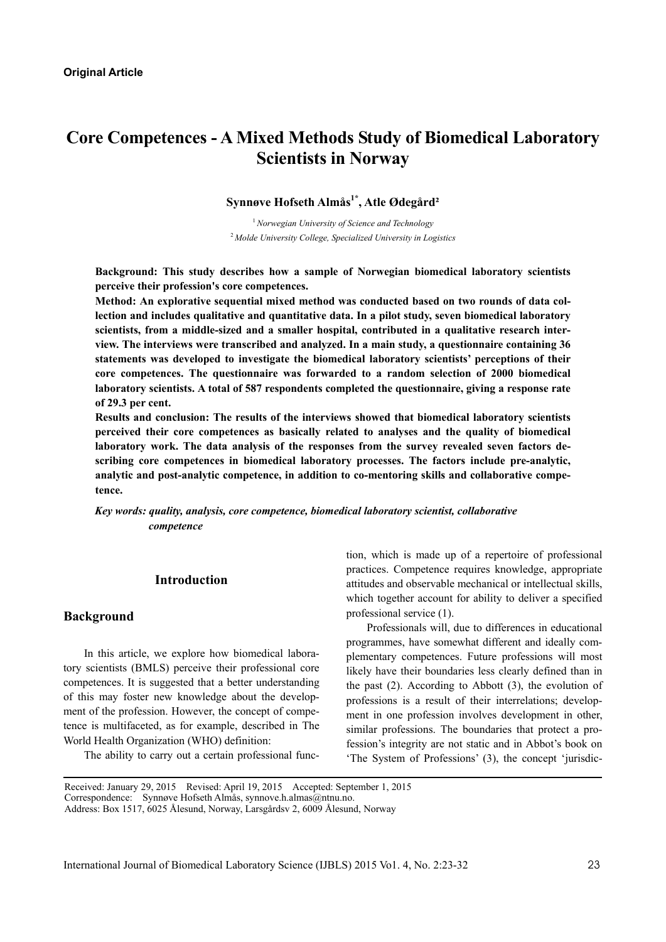# **Core Competences - A Mixed Methods Study of Biomedical Laboratory Scientists in Norway**

# **Synnøve Hofseth Almås1\*, Atle Ødegård²**

<sup>1</sup>*Norwegian University of Science and Technology*  <sup>2</sup>*Molde University College, Specialized University in Logistics* 

**Background: This study describes how a sample of Norwegian biomedical laboratory scientists perceive their profession's core competences.** 

**Method: An explorative sequential mixed method was conducted based on two rounds of data collection and includes qualitative and quantitative data. In a pilot study, seven biomedical laboratory scientists, from a middle-sized and a smaller hospital, contributed in a qualitative research interview. The interviews were transcribed and analyzed. In a main study, a questionnaire containing 36 statements was developed to investigate the biomedical laboratory scientists' perceptions of their core competences. The questionnaire was forwarded to a random selection of 2000 biomedical laboratory scientists. A total of 587 respondents completed the questionnaire, giving a response rate of 29.3 per cent.** 

**Results and conclusion: The results of the interviews showed that biomedical laboratory scientists perceived their core competences as basically related to analyses and the quality of biomedical laboratory work. The data analysis of the responses from the survey revealed seven factors describing core competences in biomedical laboratory processes. The factors include pre-analytic, analytic and post-analytic competence, in addition to co-mentoring skills and collaborative competence.** 

*Key words: quality, analysis, core competence, biomedical laboratory scientist, collaborative competence* 

### **Introduction**

#### **Background**

In this article, we explore how biomedical laboratory scientists (BMLS) perceive their professional core competences. It is suggested that a better understanding of this may foster new knowledge about the development of the profession. However, the concept of competence is multifaceted, as for example, described in The World Health Organization (WHO) definition:

The ability to carry out a certain professional func-

tion, which is made up of a repertoire of professional practices. Competence requires knowledge, appropriate attitudes and observable mechanical or intellectual skills, which together account for ability to deliver a specified professional service (1).

Professionals will, due to differences in educational programmes, have somewhat different and ideally complementary competences. Future professions will most likely have their boundaries less clearly defined than in the past (2). According to Abbott (3), the evolution of professions is a result of their interrelations; development in one profession involves development in other, similar professions. The boundaries that protect a profession's integrity are not static and in Abbot's book on 'The System of Professions' (3), the concept 'jurisdic-

Received: January 29, 2015 Revised: April 19, 2015 Accepted: September 1, 2015

Correspondence: Synnøve Hofseth Almås, synnove.h.almas@ntnu.no.

Address: Box 1517, 6025 Ålesund, Norway, Larsgårdsv 2, 6009 Ålesund, Norway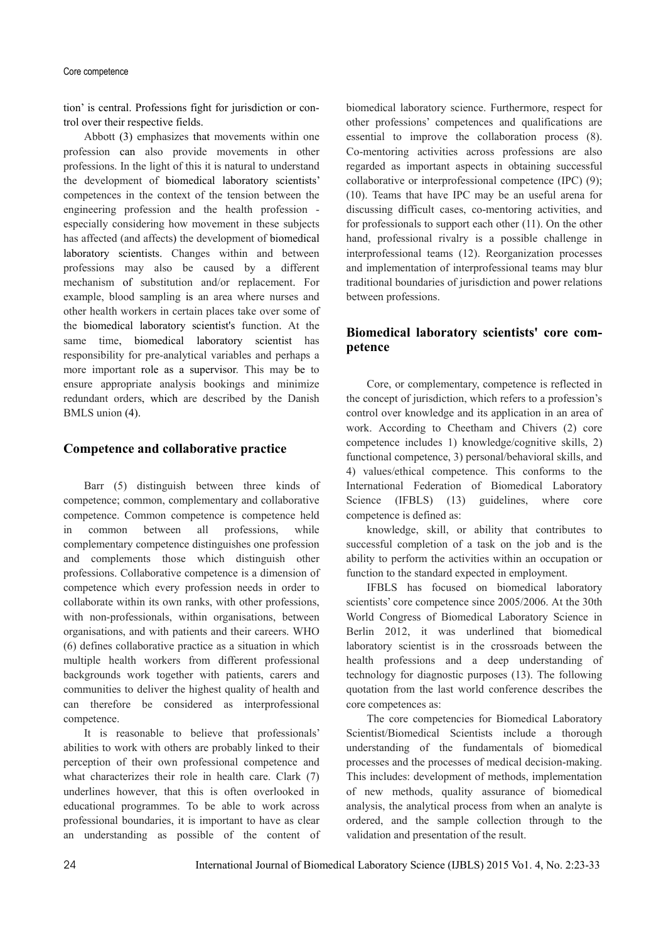#### Core competence

tion' is central. Professions fight for jurisdiction or control over their respective fields.

Abbott (3) emphasizes that movements within one profession can also provide movements in other professions. In the light of this it is natural to understand the development of biomedical laboratory scientists' competences in the context of the tension between the engineering profession and the health profession especially considering how movement in these subjects has affected (and affects) the development of biomedical laboratory scientists. Changes within and between professions may also be caused by a different mechanism of substitution and/or replacement. For example, blood sampling is an area where nurses and other health workers in certain places take over some of the biomedical laboratory scientist's function. At the same time, biomedical laboratory scientist has responsibility for pre-analytical variables and perhaps a more important role as a supervisor. This may be to ensure appropriate analysis bookings and minimize redundant orders, which are described by the Danish BMLS union (4).

### **Competence and collaborative practice**

Barr (5) distinguish between three kinds of competence; common, complementary and collaborative competence. Common competence is competence held in common between all professions, while complementary competence distinguishes one profession and complements those which distinguish other professions. Collaborative competence is a dimension of competence which every profession needs in order to collaborate within its own ranks, with other professions, with non-professionals, within organisations, between organisations, and with patients and their careers. WHO (6) defines collaborative practice as a situation in which multiple health workers from different professional backgrounds work together with patients, carers and communities to deliver the highest quality of health and can therefore be considered as interprofessional competence.

It is reasonable to believe that professionals' abilities to work with others are probably linked to their perception of their own professional competence and what characterizes their role in health care. Clark (7) underlines however, that this is often overlooked in educational programmes. To be able to work across professional boundaries, it is important to have as clear an understanding as possible of the content of biomedical laboratory science. Furthermore, respect for other professions' competences and qualifications are essential to improve the collaboration process (8). Co-mentoring activities across professions are also regarded as important aspects in obtaining successful collaborative or interprofessional competence (IPC) (9); (10). Teams that have IPC may be an useful arena for discussing difficult cases, co-mentoring activities, and for professionals to support each other (11). On the other hand, professional rivalry is a possible challenge in interprofessional teams (12). Reorganization processes and implementation of interprofessional teams may blur traditional boundaries of jurisdiction and power relations between professions.

## **Biomedical laboratory scientists' core competence**

Core, or complementary, competence is reflected in the concept of jurisdiction, which refers to a profession's control over knowledge and its application in an area of work. According to Cheetham and Chivers (2) core competence includes 1) knowledge/cognitive skills, 2) functional competence, 3) personal/behavioral skills, and 4) values/ethical competence. This conforms to the International Federation of Biomedical Laboratory Science (IFBLS) (13) guidelines, where core competence is defined as:

knowledge, skill, or ability that contributes to successful completion of a task on the job and is the ability to perform the activities within an occupation or function to the standard expected in employment.

IFBLS has focused on biomedical laboratory scientists' core competence since 2005/2006. At the 30th World Congress of Biomedical Laboratory Science in Berlin 2012, it was underlined that biomedical laboratory scientist is in the crossroads between the health professions and a deep understanding of technology for diagnostic purposes (13). The following quotation from the last world conference describes the core competences as:

The core competencies for Biomedical Laboratory Scientist/Biomedical Scientists include a thorough understanding of the fundamentals of biomedical processes and the processes of medical decision-making. This includes: development of methods, implementation of new methods, quality assurance of biomedical analysis, the analytical process from when an analyte is ordered, and the sample collection through to the validation and presentation of the result.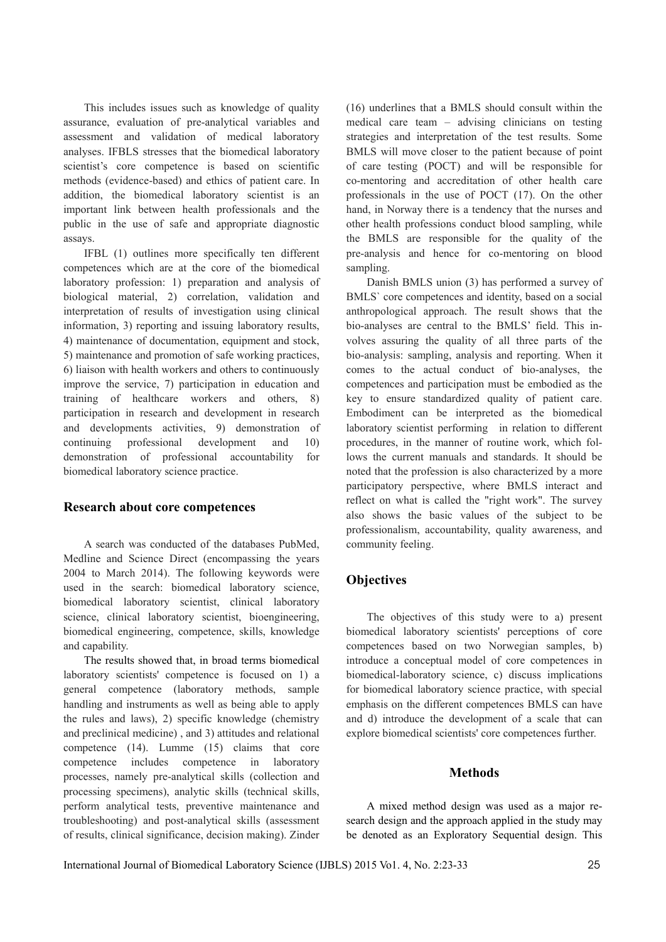This includes issues such as knowledge of quality assurance, evaluation of pre-analytical variables and assessment and validation of medical laboratory analyses. IFBLS stresses that the biomedical laboratory scientist's core competence is based on scientific methods (evidence-based) and ethics of patient care. In addition, the biomedical laboratory scientist is an important link between health professionals and the public in the use of safe and appropriate diagnostic assays.

IFBL (1) outlines more specifically ten different competences which are at the core of the biomedical laboratory profession: 1) preparation and analysis of biological material, 2) correlation, validation and interpretation of results of investigation using clinical information, 3) reporting and issuing laboratory results, 4) maintenance of documentation, equipment and stock, 5) maintenance and promotion of safe working practices, 6) liaison with health workers and others to continuously improve the service, 7) participation in education and training of healthcare workers and others, 8) participation in research and development in research and developments activities, 9) demonstration of continuing professional development and 10) demonstration of professional accountability for biomedical laboratory science practice.

#### **Research about core competences**

A search was conducted of the databases PubMed, Medline and Science Direct (encompassing the years 2004 to March 2014). The following keywords were used in the search: biomedical laboratory science, biomedical laboratory scientist, clinical laboratory science, clinical laboratory scientist, bioengineering, biomedical engineering, competence, skills, knowledge and capability.

The results showed that, in broad terms biomedical laboratory scientists' competence is focused on 1) a general competence (laboratory methods, sample handling and instruments as well as being able to apply the rules and laws), 2) specific knowledge (chemistry and preclinical medicine) , and 3) attitudes and relational competence (14). Lumme (15) claims that core competence includes competence in laboratory processes, namely pre-analytical skills (collection and processing specimens), analytic skills (technical skills, perform analytical tests, preventive maintenance and troubleshooting) and post-analytical skills (assessment of results, clinical significance, decision making). Zinder

(16) underlines that a BMLS should consult within the medical care team – advising clinicians on testing strategies and interpretation of the test results. Some BMLS will move closer to the patient because of point of care testing (POCT) and will be responsible for co-mentoring and accreditation of other health care professionals in the use of POCT (17). On the other hand, in Norway there is a tendency that the nurses and other health professions conduct blood sampling, while the BMLS are responsible for the quality of the pre-analysis and hence for co-mentoring on blood sampling.

Danish BMLS union (3) has performed a survey of BMLS` core competences and identity, based on a social anthropological approach. The result shows that the bio-analyses are central to the BMLS' field. This involves assuring the quality of all three parts of the bio-analysis: sampling, analysis and reporting. When it comes to the actual conduct of bio-analyses, the competences and participation must be embodied as the key to ensure standardized quality of patient care. Embodiment can be interpreted as the biomedical laboratory scientist performing in relation to different procedures, in the manner of routine work, which follows the current manuals and standards. It should be noted that the profession is also characterized by a more participatory perspective, where BMLS interact and reflect on what is called the "right work". The survey also shows the basic values of the subject to be professionalism, accountability, quality awareness, and community feeling.

#### **Objectives**

The objectives of this study were to a) present biomedical laboratory scientists' perceptions of core competences based on two Norwegian samples, b) introduce a conceptual model of core competences in biomedical-laboratory science, c) discuss implications for biomedical laboratory science practice, with special emphasis on the different competences BMLS can have and d) introduce the development of a scale that can explore biomedical scientists' core competences further.

#### **Methods**

A mixed method design was used as a major research design and the approach applied in the study may be denoted as an Exploratory Sequential design. This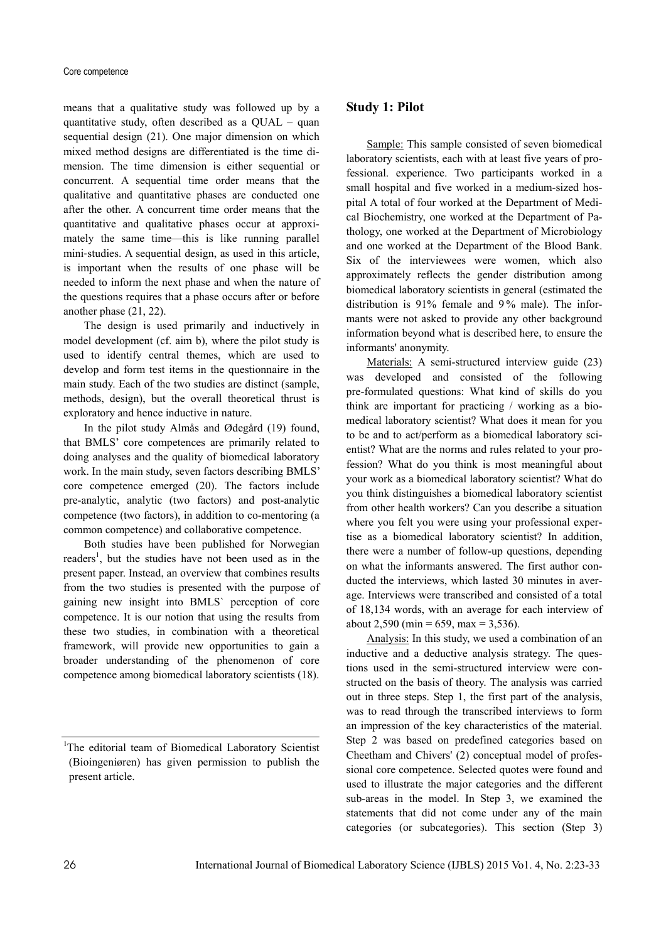means that a qualitative study was followed up by a quantitative study, often described as a QUAL – quan sequential design (21). One major dimension on which mixed method designs are differentiated is the time dimension. The time dimension is either sequential or concurrent. A sequential time order means that the qualitative and quantitative phases are conducted one after the other. A concurrent time order means that the quantitative and qualitative phases occur at approximately the same time—this is like running parallel mini‐studies. A sequential design, as used in this article, is important when the results of one phase will be needed to inform the next phase and when the nature of the questions requires that a phase occurs after or before another phase (21, 22).

The design is used primarily and inductively in model development (cf. aim b), where the pilot study is used to identify central themes, which are used to develop and form test items in the questionnaire in the main study. Each of the two studies are distinct (sample, methods, design), but the overall theoretical thrust is exploratory and hence inductive in nature.

In the pilot study Almås and Ødegård (19) found, that BMLS' core competences are primarily related to doing analyses and the quality of biomedical laboratory work. In the main study, seven factors describing BMLS' core competence emerged (20). The factors include pre-analytic, analytic (two factors) and post-analytic competence (two factors), in addition to co-mentoring (a common competence) and collaborative competence.

Both studies have been published for Norwegian readers<sup>1</sup>, but the studies have not been used as in the present paper. Instead, an overview that combines results from the two studies is presented with the purpose of gaining new insight into BMLS` perception of core competence. It is our notion that using the results from these two studies, in combination with a theoretical framework, will provide new opportunities to gain a broader understanding of the phenomenon of core competence among biomedical laboratory scientists (18).

### **Study 1: Pilot**

Sample: This sample consisted of seven biomedical laboratory scientists, each with at least five years of professional. experience. Two participants worked in a small hospital and five worked in a medium-sized hospital A total of four worked at the Department of Medical Biochemistry, one worked at the Department of Pathology, one worked at the Department of Microbiology and one worked at the Department of the Blood Bank. Six of the interviewees were women, which also approximately reflects the gender distribution among biomedical laboratory scientists in general (estimated the distribution is 91% female and 9 % male). The informants were not asked to provide any other background information beyond what is described here, to ensure the informants' anonymity.

Materials: A semi-structured interview guide (23) was developed and consisted of the following pre-formulated questions: What kind of skills do you think are important for practicing / working as a biomedical laboratory scientist? What does it mean for you to be and to act/perform as a biomedical laboratory scientist? What are the norms and rules related to your profession? What do you think is most meaningful about your work as a biomedical laboratory scientist? What do you think distinguishes a biomedical laboratory scientist from other health workers? Can you describe a situation where you felt you were using your professional expertise as a biomedical laboratory scientist? In addition, there were a number of follow-up questions, depending on what the informants answered. The first author conducted the interviews, which lasted 30 minutes in average. Interviews were transcribed and consisted of a total of 18,134 words, with an average for each interview of about 2,590 (min = 659, max = 3,536).

Analysis: In this study, we used a combination of an inductive and a deductive analysis strategy. The questions used in the semi-structured interview were constructed on the basis of theory. The analysis was carried out in three steps. Step 1, the first part of the analysis, was to read through the transcribed interviews to form an impression of the key characteristics of the material. Step 2 was based on predefined categories based on Cheetham and Chivers' (2) conceptual model of professional core competence. Selected quotes were found and used to illustrate the major categories and the different sub-areas in the model. In Step 3, we examined the statements that did not come under any of the main categories (or subcategories). This section (Step 3)

<sup>&</sup>lt;sup>1</sup>The editorial team of Biomedical Laboratory Scientist (Bioingeniøren) has given permission to publish the present article.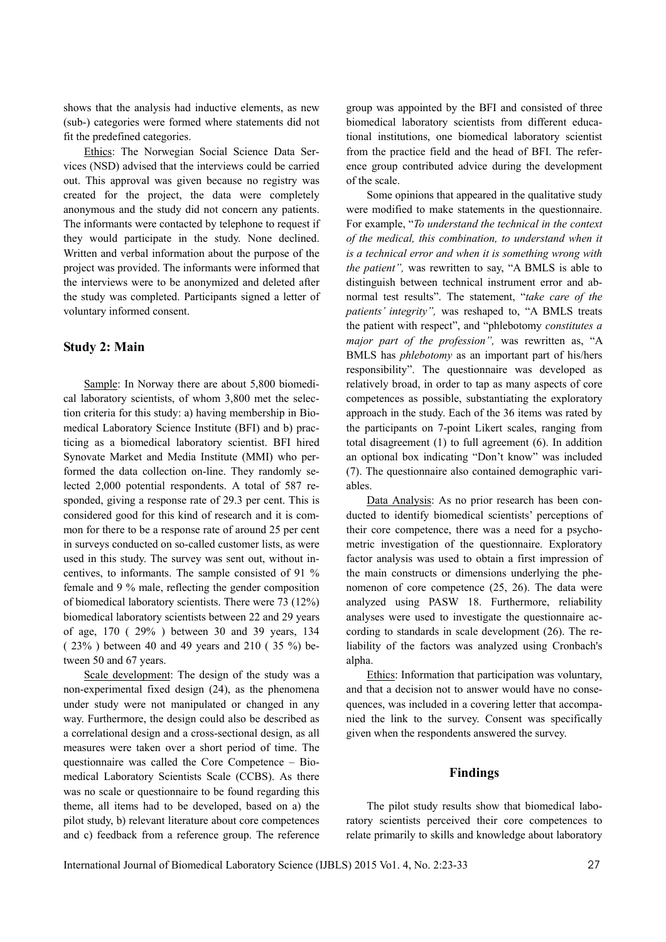shows that the analysis had inductive elements, as new (sub-) categories were formed where statements did not fit the predefined categories.

Ethics: The Norwegian Social Science Data Services (NSD) advised that the interviews could be carried out. This approval was given because no registry was created for the project, the data were completely anonymous and the study did not concern any patients. The informants were contacted by telephone to request if they would participate in the study. None declined. Written and verbal information about the purpose of the project was provided. The informants were informed that the interviews were to be anonymized and deleted after the study was completed. Participants signed a letter of voluntary informed consent.

#### **Study 2: Main**

Sample: In Norway there are about 5,800 biomedical laboratory scientists, of whom 3,800 met the selection criteria for this study: a) having membership in Biomedical Laboratory Science Institute (BFI) and b) practicing as a biomedical laboratory scientist. BFI hired Synovate Market and Media Institute (MMI) who performed the data collection on-line. They randomly selected 2,000 potential respondents. A total of 587 responded, giving a response rate of 29.3 per cent. This is considered good for this kind of research and it is common for there to be a response rate of around 25 per cent in surveys conducted on so-called customer lists, as were used in this study. The survey was sent out, without incentives, to informants. The sample consisted of 91 % female and 9 % male, reflecting the gender composition of biomedical laboratory scientists. There were 73 (12%) biomedical laboratory scientists between 22 and 29 years of age, 170 ( 29% ) between 30 and 39 years, 134 ( 23% ) between 40 and 49 years and 210 ( 35 %) between 50 and 67 years.

Scale development: The design of the study was a non-experimental fixed design (24), as the phenomena under study were not manipulated or changed in any way. Furthermore, the design could also be described as a correlational design and a cross-sectional design, as all measures were taken over a short period of time. The questionnaire was called the Core Competence – Biomedical Laboratory Scientists Scale (CCBS). As there was no scale or questionnaire to be found regarding this theme, all items had to be developed, based on a) the pilot study, b) relevant literature about core competences and c) feedback from a reference group. The reference group was appointed by the BFI and consisted of three biomedical laboratory scientists from different educational institutions, one biomedical laboratory scientist from the practice field and the head of BFI. The reference group contributed advice during the development of the scale.

Some opinions that appeared in the qualitative study were modified to make statements in the questionnaire. For example, "*To understand the technical in the context of the medical, this combination, to understand when it is a technical error and when it is something wrong with the patient",* was rewritten to say, "A BMLS is able to distinguish between technical instrument error and abnormal test results". The statement, "*take care of the patients' integrity",* was reshaped to, "A BMLS treats the patient with respect", and "phlebotomy *constitutes a major part of the profession",* was rewritten as, "A BMLS has *phlebotomy* as an important part of his/hers responsibility". The questionnaire was developed as relatively broad, in order to tap as many aspects of core competences as possible, substantiating the exploratory approach in the study. Each of the 36 items was rated by the participants on 7-point Likert scales, ranging from total disagreement (1) to full agreement (6). In addition an optional box indicating "Don't know" was included (7). The questionnaire also contained demographic variables.

Data Analysis: As no prior research has been conducted to identify biomedical scientists' perceptions of their core competence, there was a need for a psychometric investigation of the questionnaire. Exploratory factor analysis was used to obtain a first impression of the main constructs or dimensions underlying the phenomenon of core competence (25, 26). The data were analyzed using PASW 18. Furthermore, reliability analyses were used to investigate the questionnaire according to standards in scale development (26). The reliability of the factors was analyzed using Cronbach's alpha.

Ethics: Information that participation was voluntary, and that a decision not to answer would have no consequences, was included in a covering letter that accompanied the link to the survey. Consent was specifically given when the respondents answered the survey.

#### **Findings**

The pilot study results show that biomedical laboratory scientists perceived their core competences to relate primarily to skills and knowledge about laboratory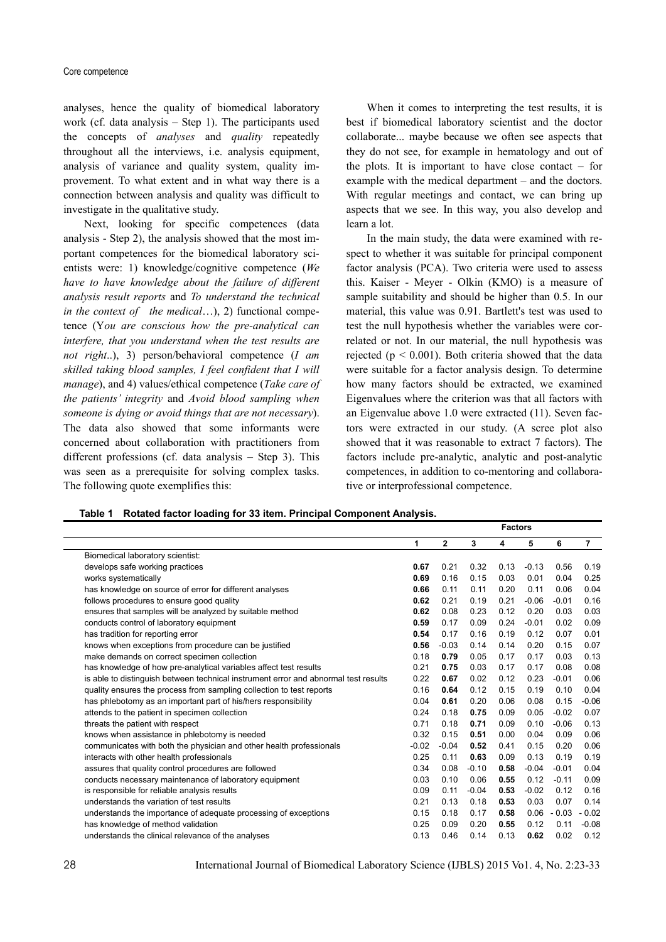analyses, hence the quality of biomedical laboratory work (cf. data analysis – Step 1). The participants used the concepts of *analyses* and *quality* repeatedly throughout all the interviews, i.e. analysis equipment, analysis of variance and quality system, quality improvement. To what extent and in what way there is a connection between analysis and quality was difficult to investigate in the qualitative study.

Next, looking for specific competences (data analysis - Step 2), the analysis showed that the most important competences for the biomedical laboratory scientists were: 1) knowledge/cognitive competence (*We have to have knowledge about the failure of different analysis result reports* and *To understand the technical in the context of the medical*...), 2) functional competence (Y*ou are conscious how the pre-analytical can interfere, that you understand when the test results are not right*..), 3) person/behavioral competence (*I am skilled taking blood samples, I feel confident that I will manage*), and 4) values/ethical competence (*Take care of the patients' integrity* and *Avoid blood sampling when someone is dying or avoid things that are not necessary*). The data also showed that some informants were concerned about collaboration with practitioners from different professions (cf. data analysis – Step 3). This was seen as a prerequisite for solving complex tasks. The following quote exemplifies this:

When it comes to interpreting the test results, it is best if biomedical laboratory scientist and the doctor collaborate... maybe because we often see aspects that they do not see, for example in hematology and out of the plots. It is important to have close contact  $-$  for example with the medical department – and the doctors. With regular meetings and contact, we can bring up aspects that we see. In this way, you also develop and learn a lot.

In the main study, the data were examined with respect to whether it was suitable for principal component factor analysis (PCA). Two criteria were used to assess this. Kaiser - Meyer - Olkin (KMO) is a measure of sample suitability and should be higher than 0.5. In our material, this value was 0.91. Bartlett's test was used to test the null hypothesis whether the variables were correlated or not. In our material, the null hypothesis was rejected ( $p < 0.001$ ). Both criteria showed that the data were suitable for a factor analysis design. To determine how many factors should be extracted, we examined Eigenvalues where the criterion was that all factors with an Eigenvalue above 1.0 were extracted (11). Seven factors were extracted in our study. (A scree plot also showed that it was reasonable to extract 7 factors). The factors include pre-analytic, analytic and post-analytic competences, in addition to co-mentoring and collaborative or interprofessional competence.

 **Factors** 

| Table 1 Rotated factor loading for 33 item. Principal Component Analysis. |  |  |  |
|---------------------------------------------------------------------------|--|--|--|
|                                                                           |  |  |  |

|                                                                                     | 1       | $\overline{2}$ | 3       | 4    | 5       | 6       | 7       |
|-------------------------------------------------------------------------------------|---------|----------------|---------|------|---------|---------|---------|
| Biomedical laboratory scientist:                                                    |         |                |         |      |         |         |         |
| develops safe working practices                                                     | 0.67    | 0.21           | 0.32    | 0.13 | $-0.13$ | 0.56    | 0.19    |
| works systematically                                                                | 0.69    | 0.16           | 0.15    | 0.03 | 0.01    | 0.04    | 0.25    |
| has knowledge on source of error for different analyses                             | 0.66    | 0.11           | 0.11    | 0.20 | 0.11    | 0.06    | 0.04    |
| follows procedures to ensure good quality                                           | 0.62    | 0.21           | 0.19    | 0.21 | $-0.06$ | $-0.01$ | 0.16    |
| ensures that samples will be analyzed by suitable method                            | 0.62    | 0.08           | 0.23    | 0.12 | 0.20    | 0.03    | 0.03    |
| conducts control of laboratory equipment                                            | 0.59    | 0.17           | 0.09    | 0.24 | $-0.01$ | 0.02    | 0.09    |
| has tradition for reporting error                                                   | 0.54    | 0.17           | 0.16    | 0.19 | 0.12    | 0.07    | 0.01    |
| knows when exceptions from procedure can be justified                               | 0.56    | $-0.03$        | 0.14    | 0.14 | 0.20    | 0.15    | 0.07    |
| make demands on correct specimen collection                                         | 0.18    | 0.79           | 0.05    | 0.17 | 0.17    | 0.03    | 0.13    |
| has knowledge of how pre-analytical variables affect test results                   | 0.21    | 0.75           | 0.03    | 0.17 | 0.17    | 0.08    | 0.08    |
| is able to distinguish between technical instrument error and abnormal test results | 0.22    | 0.67           | 0.02    | 0.12 | 0.23    | $-0.01$ | 0.06    |
| quality ensures the process from sampling collection to test reports                | 0.16    | 0.64           | 0.12    | 0.15 | 0.19    | 0.10    | 0.04    |
| has phlebotomy as an important part of his/hers responsibility                      | 0.04    | 0.61           | 0.20    | 0.06 | 0.08    | 0.15    | $-0.06$ |
| attends to the patient in specimen collection                                       | 0.24    | 0.18           | 0.75    | 0.09 | 0.05    | $-0.02$ | 0.07    |
| threats the patient with respect                                                    | 0.71    | 0.18           | 0.71    | 0.09 | 0.10    | $-0.06$ | 0.13    |
| knows when assistance in phlebotomy is needed                                       | 0.32    | 0.15           | 0.51    | 0.00 | 0.04    | 0.09    | 0.06    |
| communicates with both the physician and other health professionals                 | $-0.02$ | $-0.04$        | 0.52    | 0.41 | 0.15    | 0.20    | 0.06    |
| interacts with other health professionals                                           | 0.25    | 0.11           | 0.63    | 0.09 | 0.13    | 0.19    | 0.19    |
| assures that quality control procedures are followed                                | 0.34    | 0.08           | $-0.10$ | 0.58 | $-0.04$ | $-0.01$ | 0.04    |
| conducts necessary maintenance of laboratory equipment                              | 0.03    | 0.10           | 0.06    | 0.55 | 0.12    | $-0.11$ | 0.09    |
| is responsible for reliable analysis results                                        | 0.09    | 0.11           | $-0.04$ | 0.53 | $-0.02$ | 0.12    | 0.16    |
| understands the variation of test results                                           | 0.21    | 0.13           | 0.18    | 0.53 | 0.03    | 0.07    | 0.14    |
| understands the importance of adequate processing of exceptions                     | 0.15    | 0.18           | 0.17    | 0.58 | 0.06    | $-0.03$ | $-0.02$ |
| has knowledge of method validation                                                  | 0.25    | 0.09           | 0.20    | 0.55 | 0.12    | 0.11    | $-0.08$ |
| understands the clinical relevance of the analyses                                  | 0.13    | 0.46           | 0.14    | 0.13 | 0.62    | 0.02    | 0.12    |
|                                                                                     |         |                |         |      |         |         |         |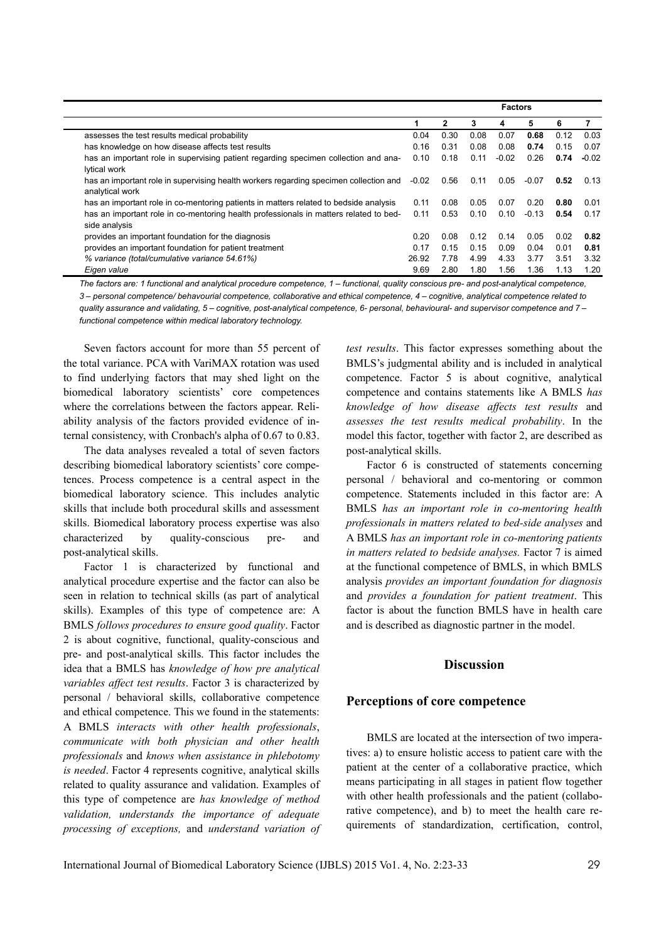|                                                                                                          | <b>Factors</b> |      |      |         |         |      |         |
|----------------------------------------------------------------------------------------------------------|----------------|------|------|---------|---------|------|---------|
|                                                                                                          |                | 2    | 3    | 4       | 5       | 6    |         |
| assesses the test results medical probability                                                            | 0.04           | 0.30 | 0.08 | 0.07    | 0.68    | 0.12 | 0.03    |
| has knowledge on how disease affects test results                                                        | 0.16           | 0.31 | 0.08 | 0.08    | 0.74    | 0.15 | 0.07    |
| has an important role in supervising patient regarding specimen collection and ana-<br>lytical work      | 0.10           | 0.18 | 0.11 | $-0.02$ | 0.26    | 0.74 | $-0.02$ |
| has an important role in supervising health workers regarding specimen collection and<br>analytical work | $-0.02$        | 0.56 | 0.11 | 0.05    | $-0.07$ | 0.52 | 0.13    |
| has an important role in co-mentoring patients in matters related to bedside analysis                    | 0.11           | 0.08 | 0.05 | 0.07    | 0.20    | 0.80 | 0.01    |
| has an important role in co-mentoring health professionals in matters related to bed-<br>side analysis   | 0.11           | 0.53 | 0.10 | 0.10    | $-0.13$ | 0.54 | 0.17    |
| provides an important foundation for the diagnosis                                                       | 0.20           | 0.08 | 0.12 | 0.14    | 0.05    | 0.02 | 0.82    |
| provides an important foundation for patient treatment                                                   | 0.17           | 0.15 | 0.15 | 0.09    | 0.04    | 0.01 | 0.81    |
| % variance (total/cumulative variance 54.61%)                                                            | 26.92          | 7.78 | 4.99 | 4.33    | 3.77    | 3.51 | 3.32    |
| Eigen value                                                                                              | 9.69           | 2.80 | 1.80 | 1.56    | 1.36    | 1.13 | 1.20    |

*The factors are: 1 functional and analytical procedure competence, 1 – functional, quality conscious pre- and post-analytical competence, 3 – personal competence/ behavourial competence, collaborative and ethical competence, 4 – cognitive, analytical competence related to quality assurance and validating, 5 – cognitive, post-analytical competence, 6- personal, behavioural- and supervisor competence and 7 – functional competence within medical laboratory technology.* 

Seven factors account for more than 55 percent of the total variance. PCA with VariMAX rotation was used to find underlying factors that may shed light on the biomedical laboratory scientists' core competences where the correlations between the factors appear. Reliability analysis of the factors provided evidence of internal consistency, with Cronbach's alpha of 0.67 to 0.83.

The data analyses revealed a total of seven factors describing biomedical laboratory scientists' core competences. Process competence is a central aspect in the biomedical laboratory science. This includes analytic skills that include both procedural skills and assessment skills. Biomedical laboratory process expertise was also characterized by quality-conscious pre- and post-analytical skills.

Factor 1 is characterized by functional and analytical procedure expertise and the factor can also be seen in relation to technical skills (as part of analytical skills). Examples of this type of competence are: A BMLS *follows procedures to ensure good quality*. Factor 2 is about cognitive, functional, quality-conscious and pre- and post-analytical skills. This factor includes the idea that a BMLS has *knowledge of how pre analytical variables affect test results*. Factor 3 is characterized by personal / behavioral skills, collaborative competence and ethical competence. This we found in the statements: A BMLS *interacts with other health professionals*, *communicate with both physician and other health professionals* and *knows when assistance in phlebotomy is needed*. Factor 4 represents cognitive, analytical skills related to quality assurance and validation. Examples of this type of competence are *has knowledge of method validation, understands the importance of adequate processing of exceptions,* and *understand variation of*  *test results*. This factor expresses something about the BMLS's judgmental ability and is included in analytical competence. Factor 5 is about cognitive, analytical competence and contains statements like A BMLS *has knowledge of how disease affects test results* and *assesses the test results medical probability*. In the model this factor, together with factor 2, are described as post-analytical skills.

Factor 6 is constructed of statements concerning personal / behavioral and co-mentoring or common competence. Statements included in this factor are: A BMLS *has an important role in co-mentoring health professionals in matters related to bed-side analyses* and A BMLS *has an important role in co-mentoring patients in matters related to bedside analyses.* Factor 7 is aimed at the functional competence of BMLS, in which BMLS analysis *provides an important foundation for diagnosis* and *provides a foundation for patient treatment*. This factor is about the function BMLS have in health care and is described as diagnostic partner in the model.

### **Discussion**

#### **Perceptions of core competence**

BMLS are located at the intersection of two imperatives: a) to ensure holistic access to patient care with the patient at the center of a collaborative practice, which means participating in all stages in patient flow together with other health professionals and the patient (collaborative competence), and b) to meet the health care requirements of standardization, certification, control,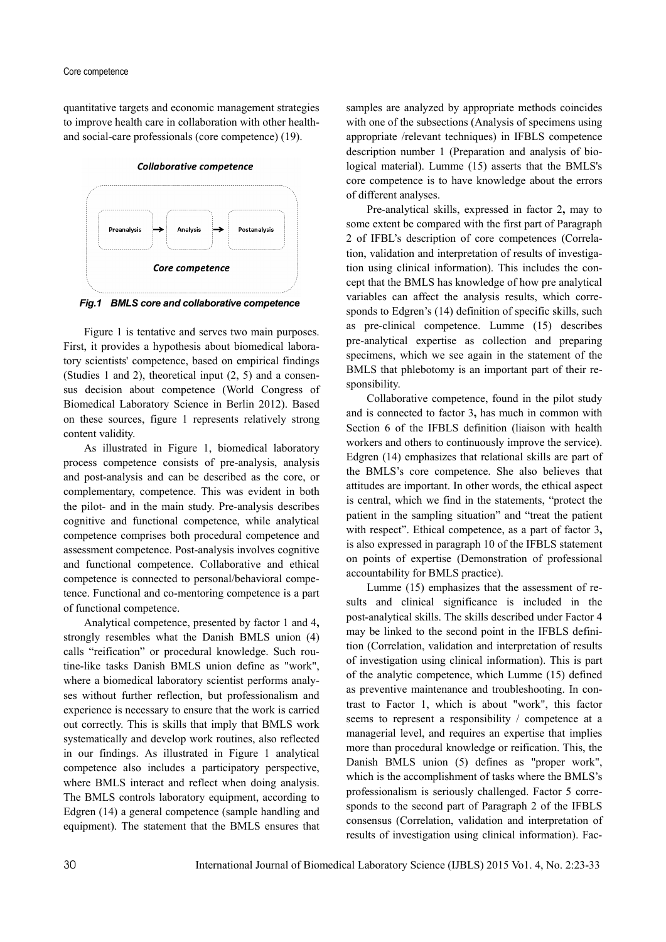quantitative targets and economic management strategies to improve health care in collaboration with other healthand social-care professionals (core competence) (19).

**Collaborative competence** 



*Fig.1 BMLS core and collaborative competence* 

Figure 1 is tentative and serves two main purposes. First, it provides a hypothesis about biomedical laboratory scientists' competence, based on empirical findings (Studies 1 and 2), theoretical input (2, 5) and a consensus decision about competence (World Congress of Biomedical Laboratory Science in Berlin 2012). Based on these sources, figure 1 represents relatively strong content validity.

As illustrated in Figure 1, biomedical laboratory process competence consists of pre-analysis, analysis and post-analysis and can be described as the core, or complementary, competence. This was evident in both the pilot- and in the main study. Pre-analysis describes cognitive and functional competence, while analytical competence comprises both procedural competence and assessment competence. Post-analysis involves cognitive and functional competence. Collaborative and ethical competence is connected to personal/behavioral competence. Functional and co-mentoring competence is a part of functional competence.

Analytical competence, presented by factor 1 and 4**,**  strongly resembles what the Danish BMLS union (4) calls "reification" or procedural knowledge. Such routine-like tasks Danish BMLS union define as "work", where a biomedical laboratory scientist performs analyses without further reflection, but professionalism and experience is necessary to ensure that the work is carried out correctly. This is skills that imply that BMLS work systematically and develop work routines, also reflected in our findings. As illustrated in Figure 1 analytical competence also includes a participatory perspective, where BMLS interact and reflect when doing analysis. The BMLS controls laboratory equipment, according to Edgren (14) a general competence (sample handling and equipment). The statement that the BMLS ensures that samples are analyzed by appropriate methods coincides with one of the subsections (Analysis of specimens using appropriate /relevant techniques) in IFBLS competence description number 1 (Preparation and analysis of biological material). Lumme (15) asserts that the BMLS's core competence is to have knowledge about the errors of different analyses.

Pre-analytical skills, expressed in factor 2**,** may to some extent be compared with the first part of Paragraph 2 of IFBL's description of core competences (Correlation, validation and interpretation of results of investigation using clinical information). This includes the concept that the BMLS has knowledge of how pre analytical variables can affect the analysis results, which corresponds to Edgren's (14) definition of specific skills, such as pre-clinical competence. Lumme (15) describes pre-analytical expertise as collection and preparing specimens, which we see again in the statement of the BMLS that phlebotomy is an important part of their responsibility.

Collaborative competence, found in the pilot study and is connected to factor 3**,** has much in common with Section 6 of the IFBLS definition (liaison with health workers and others to continuously improve the service). Edgren (14) emphasizes that relational skills are part of the BMLS's core competence. She also believes that attitudes are important. In other words, the ethical aspect is central, which we find in the statements, "protect the patient in the sampling situation" and "treat the patient with respect". Ethical competence, as a part of factor 3**,** is also expressed in paragraph 10 of the IFBLS statement on points of expertise (Demonstration of professional accountability for BMLS practice).

Lumme (15) emphasizes that the assessment of results and clinical significance is included in the post-analytical skills. The skills described under Factor 4 may be linked to the second point in the IFBLS definition (Correlation, validation and interpretation of results of investigation using clinical information). This is part of the analytic competence, which Lumme (15) defined as preventive maintenance and troubleshooting. In contrast to Factor 1, which is about "work", this factor seems to represent a responsibility / competence at a managerial level, and requires an expertise that implies more than procedural knowledge or reification. This, the Danish BMLS union (5) defines as "proper work", which is the accomplishment of tasks where the BMLS's professionalism is seriously challenged. Factor 5 corresponds to the second part of Paragraph 2 of the IFBLS consensus (Correlation, validation and interpretation of results of investigation using clinical information). Fac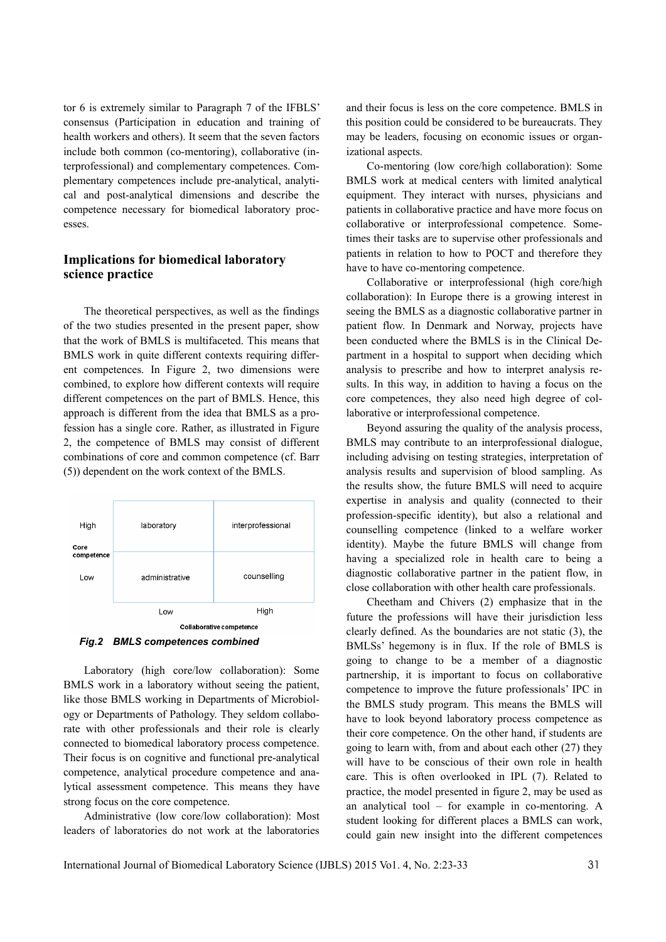tor 6 is extremely similar to Paragraph 7 of the IFBLS' consensus (Participation in education and training of health workers and others). It seem that the seven factors include both common (co-mentoring), collaborative (interprofessional) and complementary competences. Complementary competences include pre-analytical, analytical and post-analytical dimensions and describe the competence necessary for biomedical laboratory processes.

### **Implications for biomedical laboratory science practice**

The theoretical perspectives, as well as the findings of the two studies presented in the present paper, show that the work of BMLS is multifaceted. This means that BMLS work in quite different contexts requiring different competences. In Figure 2, two dimensions were combined, to explore how different contexts will require different competences on the part of BMLS. Hence, this approach is different from the idea that BMLS as a profession has a single core. Rather, as illustrated in Figure 2, the competence of BMLS may consist of different combinations of core and common competence (cf. Barr (5)) dependent on the work context of the BMLS.



*Fig.2 BMLS competences combined* 

Laboratory (high core/low collaboration): Some BMLS work in a laboratory without seeing the patient, like those BMLS working in Departments of Microbiology or Departments of Pathology. They seldom collaborate with other professionals and their role is clearly connected to biomedical laboratory process competence. Their focus is on cognitive and functional pre-analytical competence, analytical procedure competence and analytical assessment competence. This means they have strong focus on the core competence.

Administrative (low core/low collaboration): Most leaders of laboratories do not work at the laboratories

and their focus is less on the core competence. BMLS in this position could be considered to be bureaucrats. They may be leaders, focusing on economic issues or organizational aspects.

Co-mentoring (low core/high collaboration): Some BMLS work at medical centers with limited analytical equipment. They interact with nurses, physicians and patients in collaborative practice and have more focus on collaborative or interprofessional competence. Sometimes their tasks are to supervise other professionals and patients in relation to how to POCT and therefore they have to have co-mentoring competence.

Collaborative or interprofessional (high core/high collaboration): In Europe there is a growing interest in seeing the BMLS as a diagnostic collaborative partner in patient flow. In Denmark and Norway, projects have been conducted where the BMLS is in the Clinical Department in a hospital to support when deciding which analysis to prescribe and how to interpret analysis results. In this way, in addition to having a focus on the core competences, they also need high degree of collaborative or interprofessional competence.

Beyond assuring the quality of the analysis process, BMLS may contribute to an interprofessional dialogue, including advising on testing strategies, interpretation of analysis results and supervision of blood sampling. As the results show, the future BMLS will need to acquire expertise in analysis and quality (connected to their profession-specific identity), but also a relational and counselling competence (linked to a welfare worker identity). Maybe the future BMLS will change from having a specialized role in health care to being a diagnostic collaborative partner in the patient flow, in close collaboration with other health care professionals.

Cheetham and Chivers (2) emphasize that in the future the professions will have their jurisdiction less clearly defined. As the boundaries are not static (3), the BMLSs' hegemony is in flux. If the role of BMLS is going to change to be a member of a diagnostic partnership, it is important to focus on collaborative competence to improve the future professionals' IPC in the BMLS study program. This means the BMLS will have to look beyond laboratory process competence as their core competence. On the other hand, if students are going to learn with, from and about each other (27) they will have to be conscious of their own role in health care. This is often overlooked in IPL (7). Related to practice, the model presented in figure 2, may be used as an analytical tool – for example in co-mentoring. A student looking for different places a BMLS can work, could gain new insight into the different competences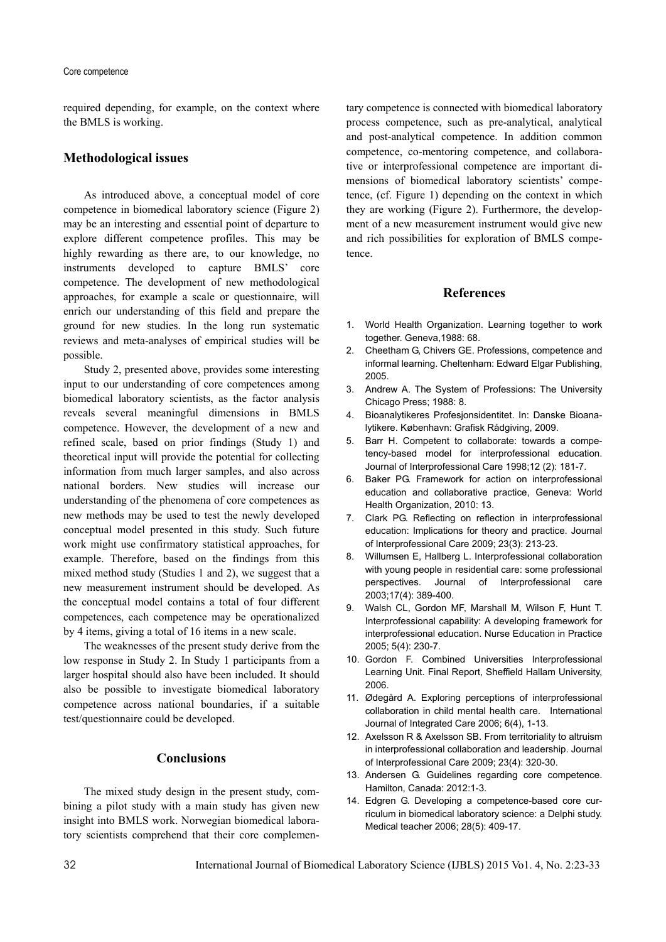#### Core competence

required depending, for example, on the context where the BMLS is working.

### **Methodological issues**

As introduced above, a conceptual model of core competence in biomedical laboratory science (Figure 2) may be an interesting and essential point of departure to explore different competence profiles. This may be highly rewarding as there are, to our knowledge, no instruments developed to capture BMLS' core competence. The development of new methodological approaches, for example a scale or questionnaire, will enrich our understanding of this field and prepare the ground for new studies. In the long run systematic reviews and meta-analyses of empirical studies will be possible.

Study 2, presented above, provides some interesting input to our understanding of core competences among biomedical laboratory scientists, as the factor analysis reveals several meaningful dimensions in BMLS competence. However, the development of a new and refined scale, based on prior findings (Study 1) and theoretical input will provide the potential for collecting information from much larger samples, and also across national borders. New studies will increase our understanding of the phenomena of core competences as new methods may be used to test the newly developed conceptual model presented in this study. Such future work might use confirmatory statistical approaches, for example. Therefore, based on the findings from this mixed method study (Studies 1 and 2), we suggest that a new measurement instrument should be developed. As the conceptual model contains a total of four different competences, each competence may be operationalized by 4 items, giving a total of 16 items in a new scale.

The weaknesses of the present study derive from the low response in Study 2. In Study 1 participants from a larger hospital should also have been included. It should also be possible to investigate biomedical laboratory competence across national boundaries, if a suitable test/questionnaire could be developed.

### **Conclusions**

The mixed study design in the present study, combining a pilot study with a main study has given new insight into BMLS work. Norwegian biomedical laboratory scientists comprehend that their core complementary competence is connected with biomedical laboratory process competence, such as pre-analytical, analytical and post-analytical competence. In addition common competence, co-mentoring competence, and collaborative or interprofessional competence are important dimensions of biomedical laboratory scientists' competence, (cf. Figure 1) depending on the context in which they are working (Figure 2). Furthermore, the development of a new measurement instrument would give new and rich possibilities for exploration of BMLS competence.

#### **References**

- 1. World Health Organization. Learning together to work together. Geneva,1988: 68.
- 2. Cheetham G, Chivers GE. Professions, competence and informal learning. Cheltenham: Edward Elgar Publishing, 2005.
- 3. Andrew A. The System of Professions: The University Chicago Press; 1988: 8.
- 4. Bioanalytikeres Profesjonsidentitet. In: Danske Bioanalytikere. København: Grafisk Rådgiving, 2009.
- 5. Barr H. Competent to collaborate: towards a competency-based model for interprofessional education. Journal of Interprofessional Care 1998;12 (2): 181-7.
- 6. Baker PG. Framework for action on interprofessional education and collaborative practice, Geneva: World Health Organization, 2010: 13.
- 7. Clark PG. Reflecting on reflection in interprofessional education: Implications for theory and practice. Journal of Interprofessional Care 2009; 23(3): 213-23.
- 8. Willumsen E, Hallberg L. Interprofessional collaboration with young people in residential care: some professional perspectives. Journal of Interprofessional care 2003;17(4): 389-400.
- 9. Walsh CL, Gordon MF, Marshall M, Wilson F, Hunt T. Interprofessional capability: A developing framework for interprofessional education. Nurse Education in Practice 2005; 5(4): 230-7.
- 10. Gordon F. Combined Universities Interprofessional Learning Unit. Final Report, Sheffield Hallam University, 2006.
- 11. Ødegård A. Exploring perceptions of interprofessional collaboration in child mental health care. International Journal of Integrated Care 2006; 6(4), 1-13.
- 12. Axelsson R & Axelsson SB. From territoriality to altruism in interprofessional collaboration and leadership. Journal of Interprofessional Care 2009; 23(4): 320-30.
- 13. Andersen G. Guidelines regarding core competence. Hamilton, Canada: 2012:1-3.
- 14. Edgren G. Developing a competence-based core curriculum in biomedical laboratory science: a Delphi study. Medical teacher 2006; 28(5): 409-17.